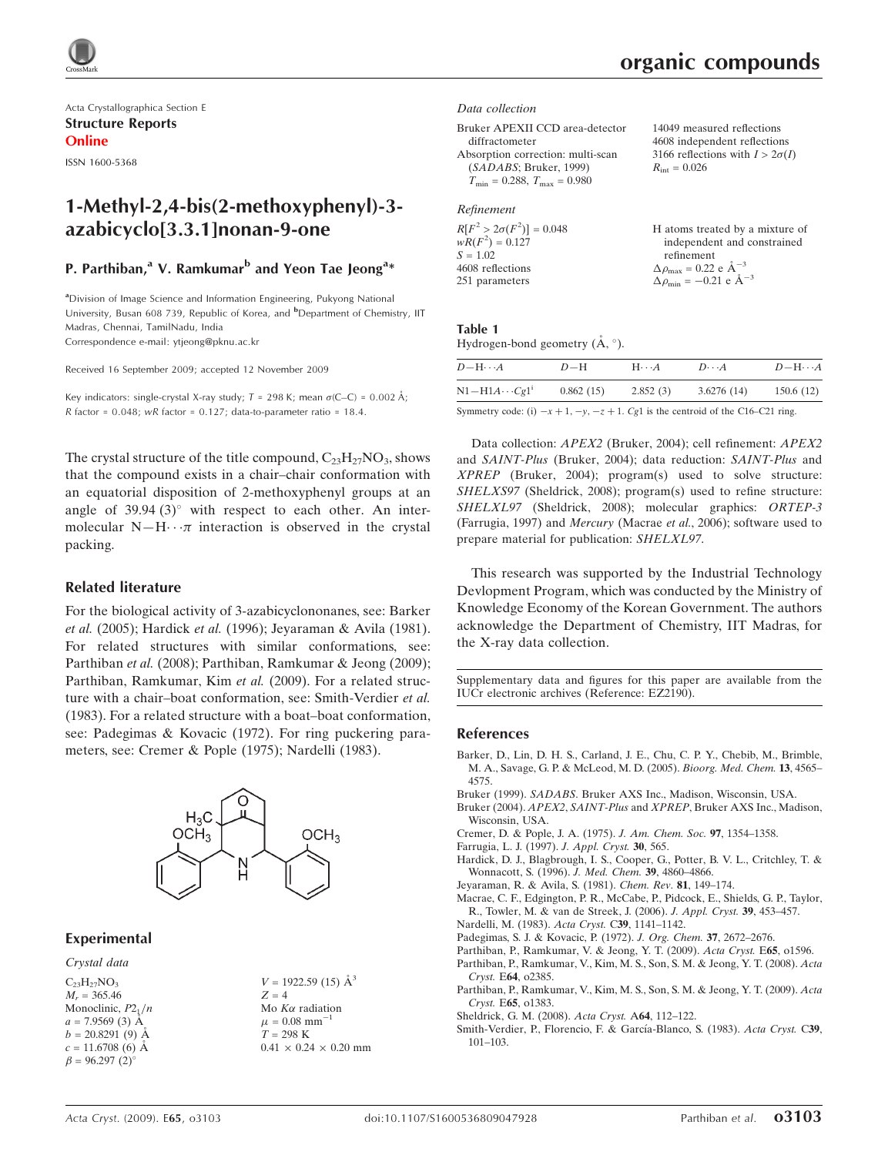

Acta Crystallographica Section E Structure Reports Online

ISSN 1600-5368

# 1-Methyl-2,4-bis(2-methoxyphenyl)-3 azabicyclo[3.3.1]nonan-9-one

## P. Parthiban,<sup>a</sup> V. Ramkumar<sup>b</sup> and Yeon Tae Jeong<sup>a</sup>\*

<sup>a</sup>Division of Image Science and Information Engineering, Pukyong National University, Busan 608 739, Republic of Korea, and <sup>b</sup>Department of Chemistry, IIT Madras, Chennai, TamilNadu, India

Correspondence e-mail: ytjeong@pknu.ac.kr

Received 16 September 2009; accepted 12 November 2009

Key indicators: single-crystal X-ray study;  $T = 298$  K; mean  $\sigma$ (C–C) = 0.002 Å; R factor =  $0.048$ ; wR factor =  $0.127$ ; data-to-parameter ratio = 18.4.

The crystal structure of the title compound,  $C_{23}H_{27}NO_3$ , shows that the compound exists in a chair–chair conformation with an equatorial disposition of 2-methoxyphenyl groups at an angle of  $39.94$  (3) $^{\circ}$  with respect to each other. An intermolecular  $N-H \cdots \pi$  interaction is observed in the crystal packing.

### Related literature

For the biological activity of 3-azabicyclononanes, see: Barker et al. (2005); Hardick et al. (1996); Jeyaraman & Avila (1981). For related structures with similar conformations, see: Parthiban et al. (2008); Parthiban, Ramkumar & Jeong (2009); Parthiban, Ramkumar, Kim et al. (2009). For a related structure with a chair–boat conformation, see: Smith-Verdier et al. (1983). For a related structure with a boat–boat conformation, see: Padegimas & Kovacic (1972). For ring puckering parameters, see: Cremer & Pople (1975); Nardelli (1983).



### Experimental

Crystal data

 $C_{23}H_{27}NO_3$  $M_r = 365.46$ Monoclinic,  $P2_1/n$  $a = 7.9569(3)$  A  $b = 20.8291(9)$  Å  $c = 11.6708(6)$  Å  $\beta = 96.297(2)$ <sup>o</sup>

 $V = 1922.59$  (15)  $\AA^3$  $Z = 4$ Mo $K\alpha$  radiation  $\mu = 0.08$  mm<sup>-1</sup>  $T = 298$  K  $0.41 \times 0.24 \times 0.20$  mm organic compounds

#### Data collection

Bruker APEXII CCD area-detector diffractometer Absorption correction: multi-scan (SADABS; Bruker, 1999)  $T_{\text{min}} = 0.288$ ,  $T_{\text{max}} = 0.980$ 14049 measured reflections 4608 independent reflections 3166 reflections with  $I > 2\sigma(I)$  $R_{\text{int}} = 0.026$ 

### Refinement

| $R[F^2 > 2\sigma(F^2)] = 0.048$ | H atoms treated by a mixture of                              |
|---------------------------------|--------------------------------------------------------------|
| $wR(F^2) = 0.127$               | independent and constrained                                  |
| $S = 1.02$                      | refinement                                                   |
| 4608 reflections                | $\Delta \rho_{\text{max}} = 0.22 \text{ e } \text{\AA}^{-3}$ |
| 251 parameters                  | $\Delta \rho_{\text{min}} = -0.21$ e $\AA^{-3}$              |
|                                 |                                                              |

### Table 1

| Hydrogen-bond geometry $(A, \circ)$ . |  |  |
|---------------------------------------|--|--|

| $D$ $\rightarrow$ $H \cdots A$ | $D-H$     | $H\cdot\cdot\cdot A$ | $D\cdots A$ | $D - H \cdots A$ |
|--------------------------------|-----------|----------------------|-------------|------------------|
| $N1 - H1A \cdots Cg1$          | 0.862(15) | 2.852(3)             | 3.6276(14)  | 150.6(12)        |

Symmetry code: (i)  $-x + 1$ ,  $-y$ ,  $-z + 1$ . Cg1 is the centroid of the C16–C21 ring.

Data collection: APEX2 (Bruker, 2004); cell refinement: APEX2 and SAINT-Plus (Bruker, 2004); data reduction: SAINT-Plus and XPREP (Bruker, 2004); program(s) used to solve structure: SHELXS97 (Sheldrick, 2008); program(s) used to refine structure: SHELXL97 (Sheldrick, 2008); molecular graphics: ORTEP-3 (Farrugia, 1997) and Mercury (Macrae et al., 2006); software used to prepare material for publication: SHELXL97.

This research was supported by the Industrial Technology Devlopment Program, which was conducted by the Ministry of Knowledge Economy of the Korean Government. The authors acknowledge the Department of Chemistry, IIT Madras, for the X-ray data collection.

Supplementary data and figures for this paper are available from the IUCr electronic archives (Reference: EZ2190).

### References

- [Barker, D., Lin, D. H. S., Carland, J. E., Chu, C. P. Y., Chebib, M., Brimble,](http://scripts.iucr.org/cgi-bin/cr.cgi?rm=pdfbb&cnor=ez2190&bbid=BB1) [M. A., Savage, G. P. & McLeod, M. D. \(2005\).](http://scripts.iucr.org/cgi-bin/cr.cgi?rm=pdfbb&cnor=ez2190&bbid=BB1) Bioorg. Med. Chem. 13, 4565– [4575.](http://scripts.iucr.org/cgi-bin/cr.cgi?rm=pdfbb&cnor=ez2190&bbid=BB1)
- Bruker (1999). SADABS[. Bruker AXS Inc., Madison, Wisconsin, USA.](http://scripts.iucr.org/cgi-bin/cr.cgi?rm=pdfbb&cnor=ez2190&bbid=BB2)
- Bruker (2004). APEX2, SAINT-Plus and XPREP[, Bruker AXS Inc., Madison,](http://scripts.iucr.org/cgi-bin/cr.cgi?rm=pdfbb&cnor=ez2190&bbid=BB3) [Wisconsin, USA.](http://scripts.iucr.org/cgi-bin/cr.cgi?rm=pdfbb&cnor=ez2190&bbid=BB3)
- [Cremer, D. & Pople, J. A. \(1975\).](http://scripts.iucr.org/cgi-bin/cr.cgi?rm=pdfbb&cnor=ez2190&bbid=BB4) J. Am. Chem. Soc. 97, 1354–1358.
- [Farrugia, L. J. \(1997\).](http://scripts.iucr.org/cgi-bin/cr.cgi?rm=pdfbb&cnor=ez2190&bbid=BB5) J. Appl. Cryst. 30, 565.
- [Hardick, D. J., Blagbrough, I. S., Cooper, G., Potter, B. V. L., Critchley, T. &](http://scripts.iucr.org/cgi-bin/cr.cgi?rm=pdfbb&cnor=ez2190&bbid=BB6) [Wonnacott, S. \(1996\).](http://scripts.iucr.org/cgi-bin/cr.cgi?rm=pdfbb&cnor=ez2190&bbid=BB6) J. Med. Chem. 39, 4860–4866.
- [Jeyaraman, R. & Avila, S. \(1981\).](http://scripts.iucr.org/cgi-bin/cr.cgi?rm=pdfbb&cnor=ez2190&bbid=BB7) Chem. Rev. 81, 149–174.
- [Macrae, C. F., Edgington, P. R., McCabe, P., Pidcock, E., Shields, G. P., Taylor,](http://scripts.iucr.org/cgi-bin/cr.cgi?rm=pdfbb&cnor=ez2190&bbid=BB8) [R., Towler, M. & van de Streek, J. \(2006\).](http://scripts.iucr.org/cgi-bin/cr.cgi?rm=pdfbb&cnor=ez2190&bbid=BB8) J. Appl. Cryst. 39, 453–457.
- [Nardelli, M. \(1983\).](http://scripts.iucr.org/cgi-bin/cr.cgi?rm=pdfbb&cnor=ez2190&bbid=BB9) Acta Cryst. C39, 1141–1142.
- [Padegimas, S. J. & Kovacic, P. \(1972\).](http://scripts.iucr.org/cgi-bin/cr.cgi?rm=pdfbb&cnor=ez2190&bbid=BB10) J. Org. Chem. 37, 2672–2676.
- [Parthiban, P., Ramkumar, V. & Jeong, Y. T. \(2009\).](http://scripts.iucr.org/cgi-bin/cr.cgi?rm=pdfbb&cnor=ez2190&bbid=BB11) Acta Cryst. E65, o1596.
- [Parthiban, P., Ramkumar, V., Kim, M. S., Son, S. M. & Jeong, Y. T. \(2008\).](http://scripts.iucr.org/cgi-bin/cr.cgi?rm=pdfbb&cnor=ez2190&bbid=BB12) Acta Cryst. E64[, o2385.](http://scripts.iucr.org/cgi-bin/cr.cgi?rm=pdfbb&cnor=ez2190&bbid=BB12)
- [Parthiban, P., Ramkumar, V., Kim, M. S., Son, S. M. & Jeong, Y. T. \(2009\).](http://scripts.iucr.org/cgi-bin/cr.cgi?rm=pdfbb&cnor=ez2190&bbid=BB13) Acta Cryst. E65[, o1383.](http://scripts.iucr.org/cgi-bin/cr.cgi?rm=pdfbb&cnor=ez2190&bbid=BB13)
- [Sheldrick, G. M. \(2008\).](http://scripts.iucr.org/cgi-bin/cr.cgi?rm=pdfbb&cnor=ez2190&bbid=BB14) Acta Cryst. A64, 112–122.
- Smith-Verdier, P., Florencio, F. & García-Blanco, S. (1983). Acta Cryst. C39, [101–103.](http://scripts.iucr.org/cgi-bin/cr.cgi?rm=pdfbb&cnor=ez2190&bbid=BB15)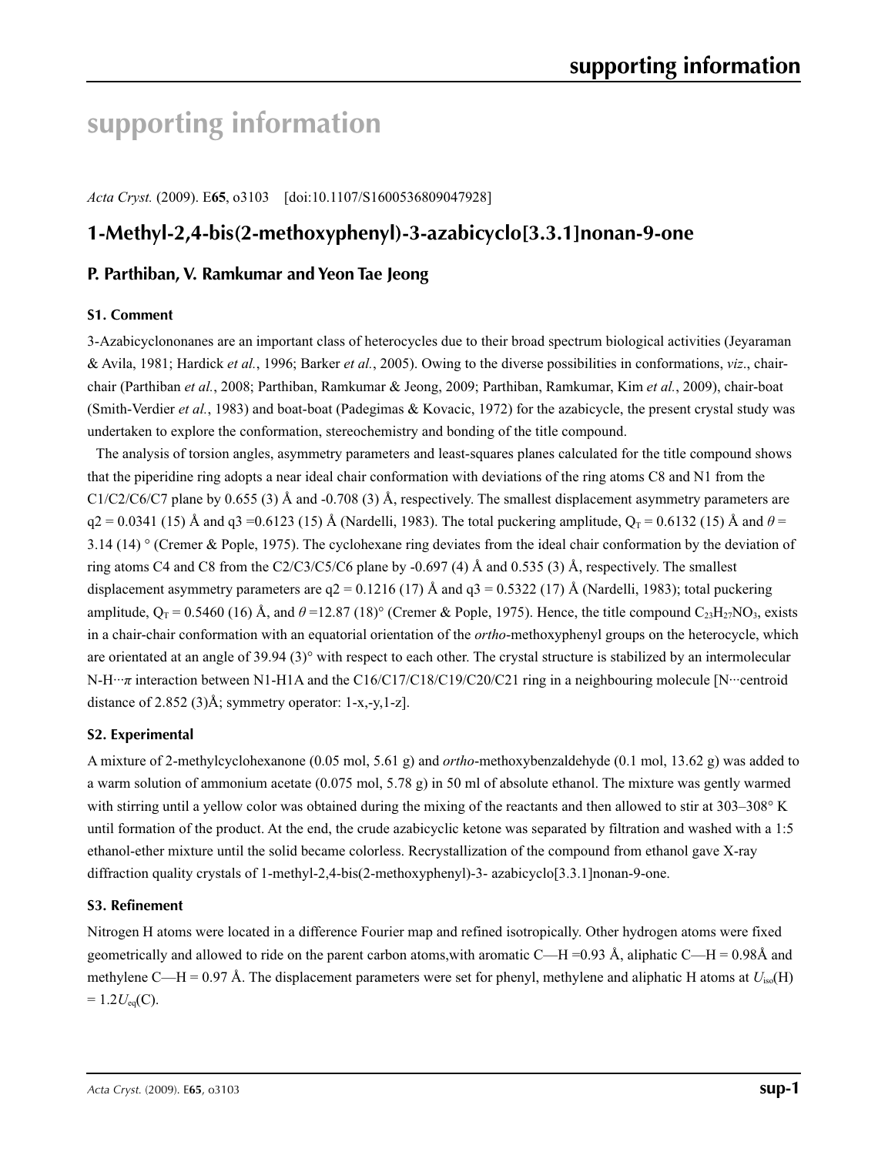# **supporting information**

*Acta Cryst.* (2009). E**65**, o3103 [doi:10.1107/S1600536809047928]

# **1-Methyl-2,4-bis(2-methoxyphenyl)-3-azabicyclo[3.3.1]nonan-9-one**

# **P. Parthiban, V. Ramkumar and Yeon Tae Jeong**

### **S1. Comment**

3-Azabicyclononanes are an important class of heterocycles due to their broad spectrum biological activities (Jeyaraman & Avila, 1981; Hardick *et al.*, 1996; Barker *et al.*, 2005). Owing to the diverse possibilities in conformations, *viz*., chairchair (Parthiban *et al.*, 2008; Parthiban, Ramkumar & Jeong, 2009; Parthiban, Ramkumar, Kim *et al.*, 2009), chair-boat (Smith-Verdier *et al.*, 1983) and boat-boat (Padegimas & Kovacic, 1972) for the azabicycle, the present crystal study was undertaken to explore the conformation, stereochemistry and bonding of the title compound.

The analysis of torsion angles, asymmetry parameters and least-squares planes calculated for the title compound shows that the piperidine ring adopts a near ideal chair conformation with deviations of the ring atoms C8 and N1 from the  $C1/C2/C6/C7$  plane by 0.655 (3) Å and -0.708 (3) Å, respectively. The smallest displacement asymmetry parameters are  $q2 = 0.0341$  (15) Å and  $q3 = 0.6123$  (15) Å (Nardelli, 1983). The total puckering amplitude,  $Q_T = 0.6132$  (15) Å and  $\theta =$ 3.14 (14)  $\degree$  (Cremer & Pople, 1975). The cyclohexane ring deviates from the ideal chair conformation by the deviation of ring atoms C4 and C8 from the C2/C3/C5/C6 plane by -0.697 (4) Å and 0.535 (3) Å, respectively. The smallest displacement asymmetry parameters are  $q2 = 0.1216$  (17) Å and  $q3 = 0.5322$  (17) Å (Nardelli, 1983); total puckering amplitude,  $Q_T = 0.5460$  (16) Å, and  $\theta = 12.87$  (18)° (Cremer & Pople, 1975). Hence, the title compound C<sub>23</sub>H<sub>27</sub>NO<sub>3</sub>, exists in a chair-chair conformation with an equatorial orientation of the *ortho*-methoxyphenyl groups on the heterocycle, which are orientated at an angle of 39.94 (3)° with respect to each other. The crystal structure is stabilized by an intermolecular N-H···*π* interaction between N1-H1A and the C16/C17/C18/C19/C20/C21 ring in a neighbouring molecule [N···centroid] distance of 2.852 (3)Å; symmetry operator: 1-x,-y,1-z].

### **S2. Experimental**

A mixture of 2-methylcyclohexanone (0.05 mol, 5.61 g) and *ortho*-methoxybenzaldehyde (0.1 mol, 13.62 g) was added to a warm solution of ammonium acetate (0.075 mol, 5.78 g) in 50 ml of absolute ethanol. The mixture was gently warmed with stirring until a yellow color was obtained during the mixing of the reactants and then allowed to stir at 303–308° K until formation of the product. At the end, the crude azabicyclic ketone was separated by filtration and washed with a 1:5 ethanol-ether mixture until the solid became colorless. Recrystallization of the compound from ethanol gave X-ray diffraction quality crystals of 1-methyl-2,4-bis(2-methoxyphenyl)-3- azabicyclo[3.3.1]nonan-9-one.

### **S3. Refinement**

Nitrogen H atoms were located in a difference Fourier map and refined isotropically. Other hydrogen atoms were fixed geometrically and allowed to ride on the parent carbon atoms, with aromatic C—H =0.93 Å, aliphatic C—H = 0.98Å and methylene C—H = 0.97 Å. The displacement parameters were set for phenyl, methylene and aliphatic H atoms at  $U_{iso}(H)$  $= 1.2 U_{eq}(C)$ .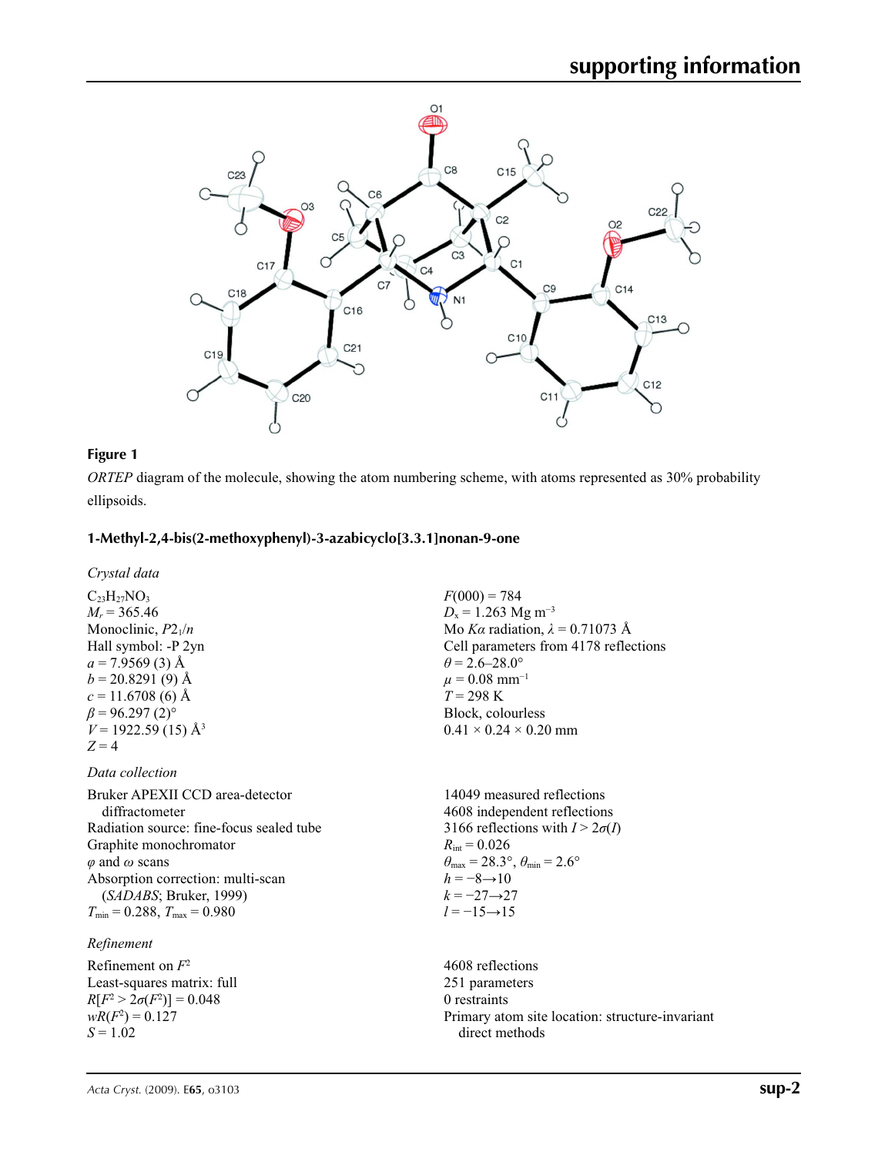

### **Figure 1**

*ORTEP* diagram of the molecule, showing the atom numbering scheme, with atoms represented as 30% probability ellipsoids.

### **1-Methyl-2,4-bis(2-methoxyphenyl)-3-azabicyclo[3.3.1]nonan-9-one**

*Crystal data*

 $C_{23}H_{27}NO_3$  $M_r = 365.46$ Monoclinic,  $P2_1/n$ Hall symbol: -P 2yn  $a = 7.9569(3)$  Å  $b = 20.8291(9)$  Å  $c = 11.6708(6)$  Å  $\beta$  = 96.297 (2)<sup>o</sup>  $V = 1922.59(15)$  Å<sup>3</sup>  $Z = 4$ 

*Data collection*

Bruker APEXII CCD area-detector diffractometer Radiation source: fine-focus sealed tube Graphite monochromator *φ* and *ω* scans Absorption correction: multi-scan (*SADABS*; Bruker, 1999)  $T_{\text{min}} = 0.288$ ,  $T_{\text{max}} = 0.980$ 

### *Refinement*

Refinement on *F*<sup>2</sup> Least-squares matrix: full  $R[F^2 > 2\sigma(F^2)] = 0.048$  $wR(F^2) = 0.127$  $S = 1.02$ 

 $F(000) = 784$  $D_x = 1.263$  Mg m<sup>-3</sup> Mo *Kα* radiation, *λ* = 0.71073 Å Cell parameters from 4178 reflections  $\theta$  = 2.6–28.0°  $\mu$  = 0.08 mm<sup>-1</sup> *T* = 298 K Block, colourless  $0.41 \times 0.24 \times 0.20$  mm

14049 measured reflections 4608 independent reflections 3166 reflections with  $I > 2\sigma(I)$  $R_{\text{int}} = 0.026$  $\theta_{\text{max}} = 28.3^{\circ}, \theta_{\text{min}} = 2.6^{\circ}$  $h = -8 \rightarrow 10$  $k = -27 \rightarrow 27$  $l = -15 \rightarrow 15$ 

4608 reflections 251 parameters 0 restraints Primary atom site location: structure-invariant direct methods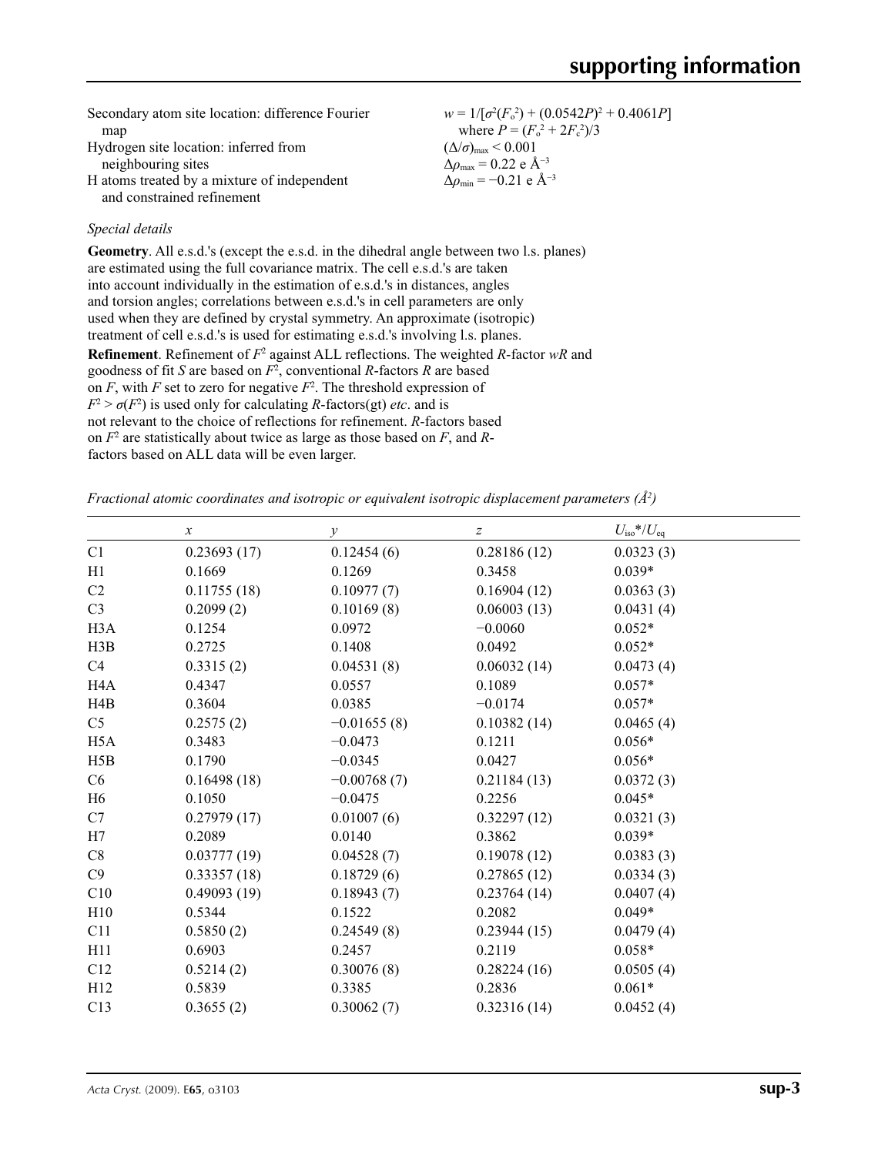| Secondary atom site location: difference Fourier | $w = 1/[\sigma^2(F_0^2) + (0.0542P)^2 + 0.4061P]$ |
|--------------------------------------------------|---------------------------------------------------|
| map                                              | where $P = (F_0^2 + 2F_c^2)/3$                    |
| Hydrogen site location: inferred from            | $(\Delta/\sigma)_{\text{max}}$ < 0.001            |
| neighbouring sites                               | $\Delta\rho_{\rm max} = 0.22$ e Å <sup>-3</sup>   |
| H atoms treated by a mixture of independent      | $\Delta\rho_{\rm min} = -0.21$ e Å <sup>-3</sup>  |
| and constrained refinement                       |                                                   |

### *Special details*

**Geometry**. All e.s.d.'s (except the e.s.d. in the dihedral angle between two l.s. planes) are estimated using the full covariance matrix. The cell e.s.d.'s are taken into account individually in the estimation of e.s.d.'s in distances, angles and torsion angles; correlations between e.s.d.'s in cell parameters are only used when they are defined by crystal symmetry. An approximate (isotropic) treatment of cell e.s.d.'s is used for estimating e.s.d.'s involving l.s. planes. **Refinement**. Refinement of  $F^2$  against ALL reflections. The weighted *R*-factor wR and goodness of fit *S* are based on *F*<sup>2</sup> , conventional *R*-factors *R* are based on  $F$ , with  $F$  set to zero for negative  $F^2$ . The threshold expression of  $F^2 > \sigma(F^2)$  is used only for calculating *R*-factors(gt) *etc*. and is not relevant to the choice of reflections for refinement. *R*-factors based on *F*<sup>2</sup> are statistically about twice as large as those based on *F*, and *R*factors based on ALL data will be even larger.

*Fractional atomic coordinates and isotropic or equivalent isotropic displacement parameters (Å<sup>2</sup>)* 

|                  | $\boldsymbol{x}$ | $\mathcal{Y}$ | $\boldsymbol{Z}$ | $U_{\rm iso}*/U_{\rm eq}$ |
|------------------|------------------|---------------|------------------|---------------------------|
| C1               | 0.23693(17)      | 0.12454(6)    | 0.28186(12)      | 0.0323(3)                 |
| H1               | 0.1669           | 0.1269        | 0.3458           | $0.039*$                  |
| C <sub>2</sub>   | 0.11755(18)      | 0.10977(7)    | 0.16904(12)      | 0.0363(3)                 |
| C <sub>3</sub>   | 0.2099(2)        | 0.10169(8)    | 0.06003(13)      | 0.0431(4)                 |
| H <sub>3</sub> A | 0.1254           | 0.0972        | $-0.0060$        | $0.052*$                  |
| H3B              | 0.2725           | 0.1408        | 0.0492           | $0.052*$                  |
| C4               | 0.3315(2)        | 0.04531(8)    | 0.06032(14)      | 0.0473(4)                 |
| H <sub>4</sub> A | 0.4347           | 0.0557        | 0.1089           | $0.057*$                  |
| H4B              | 0.3604           | 0.0385        | $-0.0174$        | $0.057*$                  |
| C <sub>5</sub>   | 0.2575(2)        | $-0.01655(8)$ | 0.10382(14)      | 0.0465(4)                 |
| H <sub>5</sub> A | 0.3483           | $-0.0473$     | 0.1211           | $0.056*$                  |
| H5B              | 0.1790           | $-0.0345$     | 0.0427           | $0.056*$                  |
| C <sub>6</sub>   | 0.16498(18)      | $-0.00768(7)$ | 0.21184(13)      | 0.0372(3)                 |
| H <sub>6</sub>   | 0.1050           | $-0.0475$     | 0.2256           | $0.045*$                  |
| C7               | 0.27979(17)      | 0.01007(6)    | 0.32297(12)      | 0.0321(3)                 |
| H7               | 0.2089           | 0.0140        | 0.3862           | $0.039*$                  |
| C8               | 0.03777(19)      | 0.04528(7)    | 0.19078(12)      | 0.0383(3)                 |
| C9               | 0.33357(18)      | 0.18729(6)    | 0.27865(12)      | 0.0334(3)                 |
| C10              | 0.49093(19)      | 0.18943(7)    | 0.23764(14)      | 0.0407(4)                 |
| H10              | 0.5344           | 0.1522        | 0.2082           | $0.049*$                  |
| C11              | 0.5850(2)        | 0.24549(8)    | 0.23944(15)      | 0.0479(4)                 |
| H11              | 0.6903           | 0.2457        | 0.2119           | $0.058*$                  |
| C12              | 0.5214(2)        | 0.30076(8)    | 0.28224(16)      | 0.0505(4)                 |
| H12              | 0.5839           | 0.3385        | 0.2836           | $0.061*$                  |
| C13              | 0.3655(2)        | 0.30062(7)    | 0.32316(14)      | 0.0452(4)                 |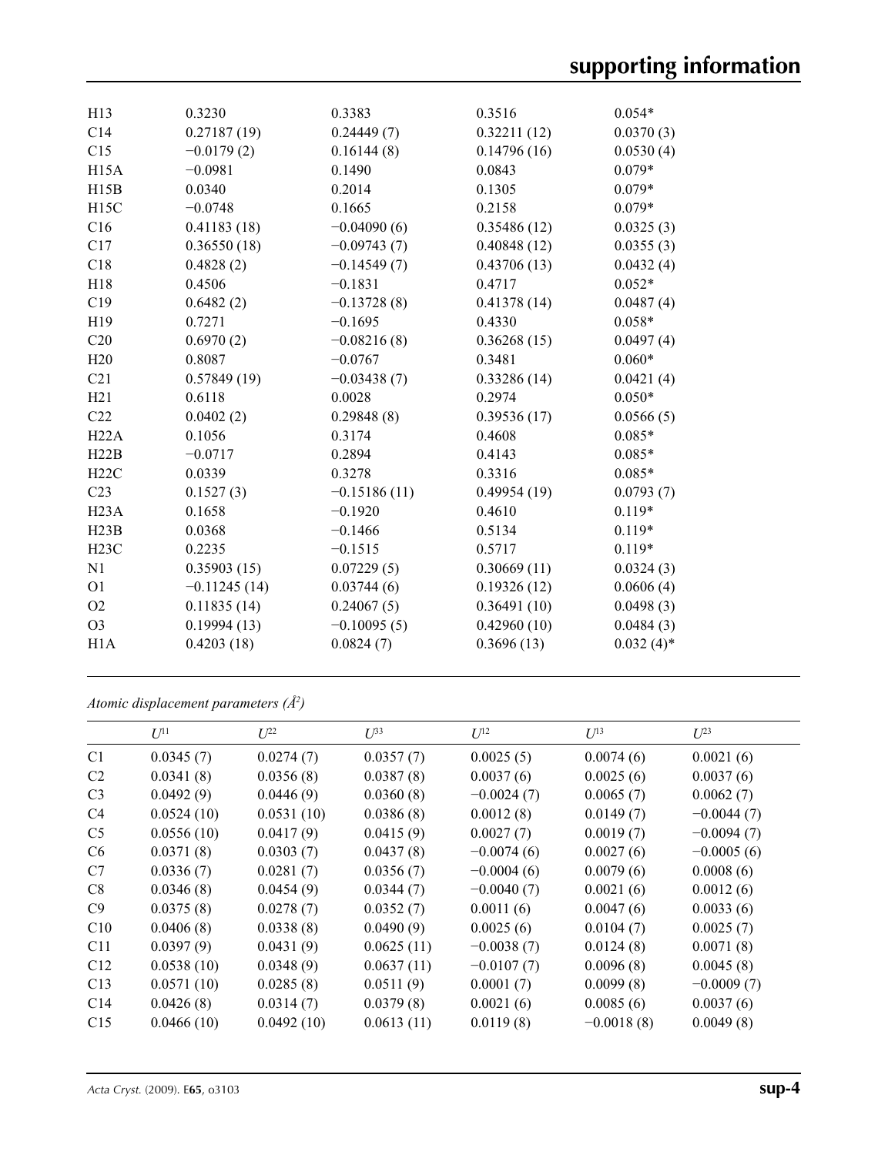| H13             | 0.3230         | 0.3383         | 0.3516      | $0.054*$     |
|-----------------|----------------|----------------|-------------|--------------|
| C14             | 0.27187(19)    | 0.24449(7)     | 0.32211(12) | 0.0370(3)    |
| C15             | $-0.0179(2)$   | 0.16144(8)     | 0.14796(16) | 0.0530(4)    |
| H15A            | $-0.0981$      | 0.1490         | 0.0843      | $0.079*$     |
| H15B            | 0.0340         | 0.2014         | 0.1305      | $0.079*$     |
| H15C            | $-0.0748$      | 0.1665         | 0.2158      | $0.079*$     |
| C16             | 0.41183(18)    | $-0.04090(6)$  | 0.35486(12) | 0.0325(3)    |
| C17             | 0.36550(18)    | $-0.09743(7)$  | 0.40848(12) | 0.0355(3)    |
| C18             | 0.4828(2)      | $-0.14549(7)$  | 0.43706(13) | 0.0432(4)    |
| H18             | 0.4506         | $-0.1831$      | 0.4717      | $0.052*$     |
| C19             | 0.6482(2)      | $-0.13728(8)$  | 0.41378(14) | 0.0487(4)    |
| H19             | 0.7271         | $-0.1695$      | 0.4330      | $0.058*$     |
| C20             | 0.6970(2)      | $-0.08216(8)$  | 0.36268(15) | 0.0497(4)    |
| H20             | 0.8087         | $-0.0767$      | 0.3481      | $0.060*$     |
| C <sub>21</sub> | 0.57849(19)    | $-0.03438(7)$  | 0.33286(14) | 0.0421(4)    |
| H21             | 0.6118         | 0.0028         | 0.2974      | $0.050*$     |
| C22             | 0.0402(2)      | 0.29848(8)     | 0.39536(17) | 0.0566(5)    |
| H22A            | 0.1056         | 0.3174         | 0.4608      | $0.085*$     |
| H22B            | $-0.0717$      | 0.2894         | 0.4143      | $0.085*$     |
| H22C            | 0.0339         | 0.3278         | 0.3316      | $0.085*$     |
| C <sub>23</sub> | 0.1527(3)      | $-0.15186(11)$ | 0.49954(19) | 0.0793(7)    |
| H23A            | 0.1658         | $-0.1920$      | 0.4610      | $0.119*$     |
| H23B            | 0.0368         | $-0.1466$      | 0.5134      | $0.119*$     |
| H23C            | 0.2235         | $-0.1515$      | 0.5717      | $0.119*$     |
| N <sub>1</sub>  | 0.35903(15)    | 0.07229(5)     | 0.30669(11) | 0.0324(3)    |
| <b>O1</b>       | $-0.11245(14)$ | 0.03744(6)     | 0.19326(12) | 0.0606(4)    |
| O2              | 0.11835(14)    | 0.24067(5)     | 0.36491(10) | 0.0498(3)    |
| O <sub>3</sub>  | 0.19994(13)    | $-0.10095(5)$  | 0.42960(10) | 0.0484(3)    |
| H1A             | 0.4203(18)     | 0.0824(7)      | 0.3696(13)  | $0.032(4)$ * |
|                 |                |                |             |              |

*Atomic displacement parameters (Å2 )*

|                 | $U^{11}$   | $U^{22}$   | $U^{33}$   | $U^{12}$     | $U^{13}$     | $U^{23}$     |
|-----------------|------------|------------|------------|--------------|--------------|--------------|
| C1              | 0.0345(7)  | 0.0274(7)  | 0.0357(7)  | 0.0025(5)    | 0.0074(6)    | 0.0021(6)    |
| C <sub>2</sub>  | 0.0341(8)  | 0.0356(8)  | 0.0387(8)  | 0.0037(6)    | 0.0025(6)    | 0.0037(6)    |
| C <sub>3</sub>  | 0.0492(9)  | 0.0446(9)  | 0.0360(8)  | $-0.0024(7)$ | 0.0065(7)    | 0.0062(7)    |
| C <sub>4</sub>  | 0.0524(10) | 0.0531(10) | 0.0386(8)  | 0.0012(8)    | 0.0149(7)    | $-0.0044(7)$ |
| C <sub>5</sub>  | 0.0556(10) | 0.0417(9)  | 0.0415(9)  | 0.0027(7)    | 0.0019(7)    | $-0.0094(7)$ |
| C <sub>6</sub>  | 0.0371(8)  | 0.0303(7)  | 0.0437(8)  | $-0.0074(6)$ | 0.0027(6)    | $-0.0005(6)$ |
| C7              | 0.0336(7)  | 0.0281(7)  | 0.0356(7)  | $-0.0004(6)$ | 0.0079(6)    | 0.0008(6)    |
| C8              | 0.0346(8)  | 0.0454(9)  | 0.0344(7)  | $-0.0040(7)$ | 0.0021(6)    | 0.0012(6)    |
| C9              | 0.0375(8)  | 0.0278(7)  | 0.0352(7)  | 0.0011(6)    | 0.0047(6)    | 0.0033(6)    |
| C10             | 0.0406(8)  | 0.0338(8)  | 0.0490(9)  | 0.0025(6)    | 0.0104(7)    | 0.0025(7)    |
| C11             | 0.0397(9)  | 0.0431(9)  | 0.0625(11) | $-0.0038(7)$ | 0.0124(8)    | 0.0071(8)    |
| C12             | 0.0538(10) | 0.0348(9)  | 0.0637(11) | $-0.0107(7)$ | 0.0096(8)    | 0.0045(8)    |
| C13             | 0.0571(10) | 0.0285(8)  | 0.0511(9)  | 0.0001(7)    | 0.0099(8)    | $-0.0009(7)$ |
| C <sub>14</sub> | 0.0426(8)  | 0.0314(7)  | 0.0379(8)  | 0.0021(6)    | 0.0085(6)    | 0.0037(6)    |
| C15             | 0.0466(10) | 0.0492(10) | 0.0613(11) | 0.0119(8)    | $-0.0018(8)$ | 0.0049(8)    |
|                 |            |            |            |              |              |              |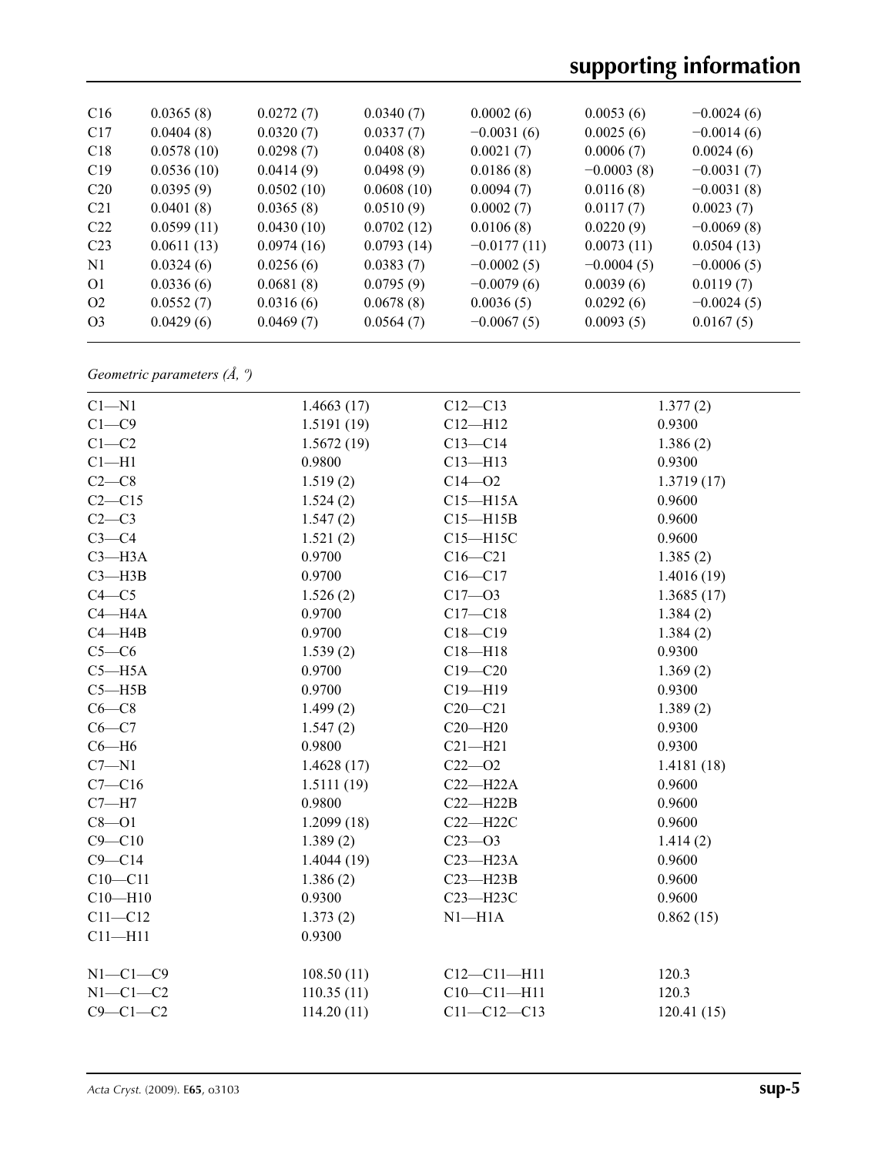| C16             | 0.0365(8)  | 0.0272(7)  | 0.0340(7)  | 0.0002(6)     | 0.0053(6)    | $-0.0024(6)$ |
|-----------------|------------|------------|------------|---------------|--------------|--------------|
| C17             | 0.0404(8)  | 0.0320(7)  | 0.0337(7)  | $-0.0031(6)$  | 0.0025(6)    | $-0.0014(6)$ |
| C18             | 0.0578(10) | 0.0298(7)  | 0.0408(8)  | 0.0021(7)     | 0.0006(7)    | 0.0024(6)    |
| C19             | 0.0536(10) | 0.0414(9)  | 0.0498(9)  | 0.0186(8)     | $-0.0003(8)$ | $-0.0031(7)$ |
| C20             | 0.0395(9)  | 0.0502(10) | 0.0608(10) | 0.0094(7)     | 0.0116(8)    | $-0.0031(8)$ |
| C <sub>21</sub> | 0.0401(8)  | 0.0365(8)  | 0.0510(9)  | 0.0002(7)     | 0.0117(7)    | 0.0023(7)    |
| C22             | 0.0599(11) | 0.0430(10) | 0.0702(12) | 0.0106(8)     | 0.0220(9)    | $-0.0069(8)$ |
| C23             | 0.0611(13) | 0.0974(16) | 0.0793(14) | $-0.0177(11)$ | 0.0073(11)   | 0.0504(13)   |
| N1              | 0.0324(6)  | 0.0256(6)  | 0.0383(7)  | $-0.0002(5)$  | $-0.0004(5)$ | $-0.0006(5)$ |
| O <sub>1</sub>  | 0.0336(6)  | 0.0681(8)  | 0.0795(9)  | $-0.0079(6)$  | 0.0039(6)    | 0.0119(7)    |
| O <sub>2</sub>  | 0.0552(7)  | 0.0316(6)  | 0.0678(8)  | 0.0036(5)     | 0.0292(6)    | $-0.0024(5)$ |
| O <sub>3</sub>  | 0.0429(6)  | 0.0469(7)  | 0.0564(7)  | $-0.0067(5)$  | 0.0093(5)    | 0.0167(5)    |
|                 |            |            |            |               |              |              |

*Geometric parameters (Å, º)*

| $C1 - N1$      | 1.4663(17) | $C12 - C13$       | 1.377(2)   |
|----------------|------------|-------------------|------------|
| $C1 - C9$      | 1.5191(19) | $C12 - H12$       | 0.9300     |
| $C1 - C2$      | 1.5672(19) | $C13-C14$         | 1.386(2)   |
| $C1 - H1$      | 0.9800     | $C13 - H13$       | 0.9300     |
| $C2-C8$        | 1.519(2)   | $C14 - 02$        | 1.3719(17) |
| $C2-C15$       | 1.524(2)   | $C15 - H15A$      | 0.9600     |
| $C2-C3$        | 1.547(2)   | $C15 - H15B$      | 0.9600     |
| $C3-C4$        | 1.521(2)   | $C15 - H15C$      | 0.9600     |
| $C3 - H3A$     | 0.9700     | $C16 - C21$       | 1.385(2)   |
| $C3 - H3B$     | 0.9700     | $C16 - C17$       | 1.4016(19) |
| $C4 - C5$      | 1.526(2)   | $C17 - 03$        | 1.3685(17) |
| $C4 - H4A$     | 0.9700     | $C17 - C18$       | 1.384(2)   |
| $C4 - H4B$     | 0.9700     | $C18 - C19$       | 1.384(2)   |
| $C5-C6$        | 1.539(2)   | $C18 - H18$       | 0.9300     |
| $C5 - H5A$     | 0.9700     | $C19 - C20$       | 1.369(2)   |
| $C5 - H5B$     | 0.9700     | $C19 - H19$       | 0.9300     |
| $C6-C8$        | 1.499(2)   | $C20 - C21$       | 1.389(2)   |
| $C6-C7$        | 1.547(2)   | $C20 - H20$       | 0.9300     |
| $C6 - H6$      | 0.9800     | $C21 - H21$       | 0.9300     |
| $C7 - N1$      | 1.4628(17) | $C22 - O2$        | 1.4181(18) |
| $C7 - C16$     | 1.5111(19) | $C22-H22A$        | 0.9600     |
| $C7 - H7$      | 0.9800     | $C22 - H22B$      | 0.9600     |
| $C8 - O1$      | 1.2099(18) | $C22 - H22C$      | 0.9600     |
| $C9 - C10$     | 1.389(2)   | $C23 - 03$        | 1.414(2)   |
| $C9 - C14$     | 1.4044(19) | $C23 - H23A$      | 0.9600     |
| $C10-C11$      | 1.386(2)   | $C23 - H23B$      | 0.9600     |
| $C10 - H10$    | 0.9300     | C23-H23C          | 0.9600     |
| $C11 - C12$    | 1.373(2)   | $N1 - H1A$        | 0.862(15)  |
| $C11 - H11$    | 0.9300     |                   |            |
| $N1-C1-C9$     | 108.50(11) | $C12 - C11 - H11$ | 120.3      |
| $N1-C1-C2$     | 110.35(11) | $C10 - C11 - H11$ | 120.3      |
| $C9 - C1 - C2$ | 114.20(11) | $C11 - C12 - C13$ | 120.41(15) |
|                |            |                   |            |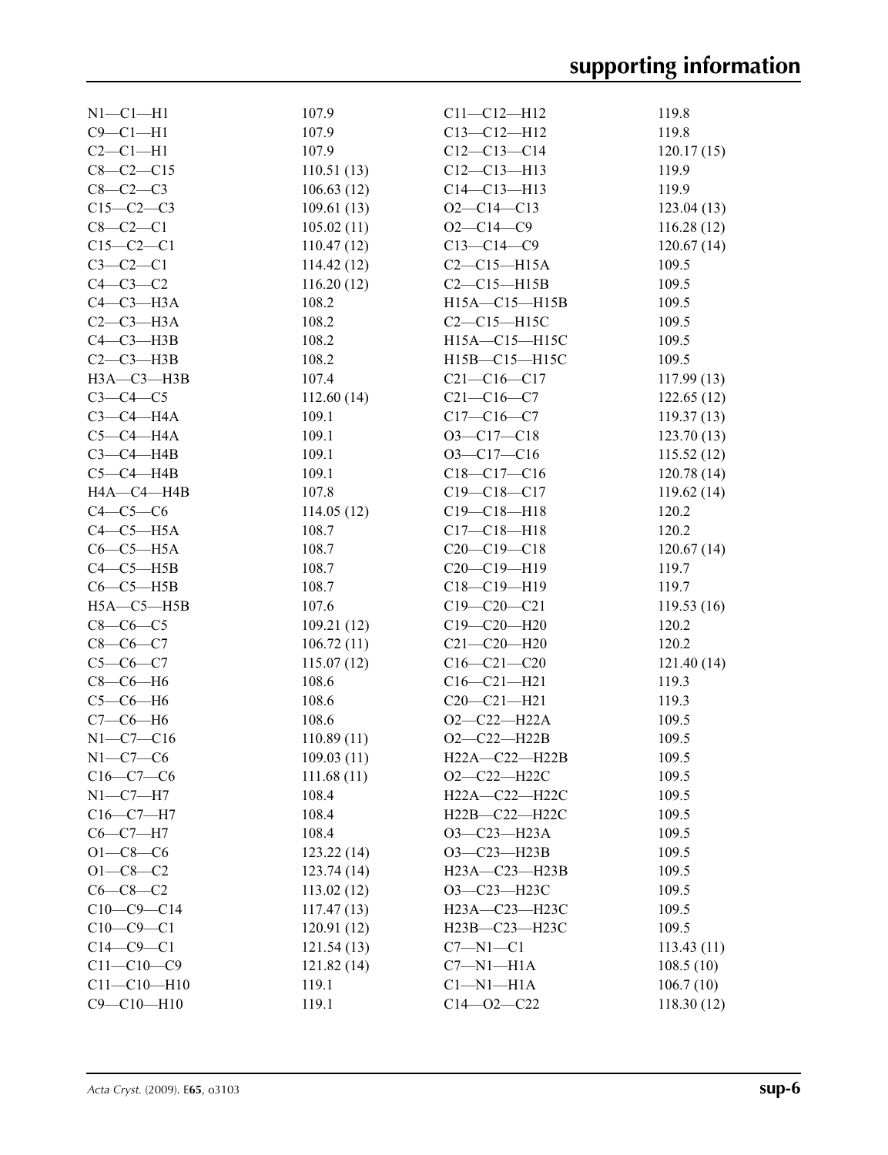| $N1-C1-H1$        | 107.9      | $C11 - C12 - H12$   | 119.8      |
|-------------------|------------|---------------------|------------|
| $C9 - C1 - H1$    | 107.9      | $C13 - C12 - H12$   | 119.8      |
| $C2-C1-H1$        | 107.9      | $C12-C13-C14$       | 120.17(15) |
| $C8 - C2 - C15$   | 110.51(13) | $C12-C13-H13$       | 119.9      |
| $C8-C2-C3$        | 106.63(12) | $C14 - C13 - H13$   | 119.9      |
| $C15-C2-C3$       | 109.61(13) | $O2 - C14 - C13$    | 123.04(13) |
| $C8-C2-C1$        | 105.02(11) | $O2 - C14 - C9$     | 116.28(12) |
| $C15-C2-C1$       | 110.47(12) | $C13 - C14 - C9$    | 120.67(14) |
| $C3-C2-C1$        | 114.42(12) | $C2-C15-H15A$       | 109.5      |
| $C4-C3-C2$        | 116.20(12) | $C2-C15-H15B$       | 109.5      |
| $C4-C3-H3A$       | 108.2      | H15A-C15-H15B       | 109.5      |
| $C2-C3-H3A$       | 108.2      | $C2-C15-H15C$       | 109.5      |
| $C4 - C3 - H3B$   | 108.2      | H15A-C15-H15C       | 109.5      |
| $C2-C3-H3B$       | 108.2      | H15B-C15-H15C       | 109.5      |
| НЗА-СЗ-НЗВ        | 107.4      | $C21 - C16 - C17$   | 117.99(13) |
| $C3-C4-C5$        | 112.60(14) | $C21 - C16 - C7$    | 122.65(12) |
| $C3-C4-H4A$       | 109.1      | $C17 - C16 - C7$    | 119.37(13) |
| $C5-C4-H4A$       | 109.1      | $O3 - C17 - C18$    | 123.70(13) |
| $C3-C4-H4B$       | 109.1      | $O3 - C17 - C16$    | 115.52(12) |
| $C5-C4-HAB$       | 109.1      | $C18 - C17 - C16$   |            |
|                   |            | $C19 - C18 - C17$   | 120.78(14) |
| HA—C4—H4B         | 107.8      |                     | 119.62(14) |
| $C4-C5-C6$        | 114.05(12) | $C19 - C18 - H18$   | 120.2      |
| $C4-C5-H5A$       | 108.7      | $C17 - C18 - H18$   | 120.2      |
| $C6-C5-H5A$       | 108.7      | $C20-C19-C18$       | 120.67(14) |
| $C4-C5-H5B$       | 108.7      | $C20-C19-H19$       | 119.7      |
| $C6-C5-H5B$       | 108.7      | $C18 - C19 - H19$   | 119.7      |
| $H5A - C5 - H5B$  | 107.6      | $C19 - C20 - C21$   | 119.53(16) |
| $C8-C6-C5$        | 109.21(12) | $C19 - C20 - H20$   | 120.2      |
| $C8-C6-C7$        | 106.72(11) | $C21 - C20 - H20$   | 120.2      |
| $C5-C6-C7$        | 115.07(12) | $C16 - C21 - C20$   | 121.40(14) |
| $C8-C6-H6$        | 108.6      | $C16 - C21 - H21$   | 119.3      |
| $C5-C6-H6$        | 108.6      | $C20-C21-H21$       | 119.3      |
| $C7-C6-H6$        | 108.6      | $O2 - C22 - H22A$   | 109.5      |
| $N1 - C7 - C16$   | 110.89(11) | $O2 - C22 - H22B$   | 109.5      |
| $N1-C7-C6$        | 109.03(11) | H22A—C22—H22B       | 109.5      |
| $C16-C7-C6$       | 111.68(11) | $O2 - C22 - H22C$   | 109.5      |
| $N1 - C7 - H7$    | 108.4      | H22A-C22-H22C       | 109.5      |
| $C16-C7-H7$       | 108.4      | H22B-C22-H22C       | 109.5      |
| $C6-C7-H7$        | 108.4      | O3-C23-H23A         | 109.5      |
| $O1 - C8 - C6$    | 123.22(14) | O3-C23-H23B         | 109.5      |
| $O1 - C8 - C2$    | 123.74(14) | $H23A - C23 - H23B$ | 109.5      |
| $C6-C8-C2$        | 113.02(12) | O3-C23-H23C         | 109.5      |
| $C10-C9-C14$      | 117.47(13) | H23A-C23-H23C       | 109.5      |
| $C10-C9-C1$       | 120.91(12) | H23B-C23-H23C       | 109.5      |
| $C14-C9-C1$       | 121.54(13) | $C7 - N1 - C1$      | 113.43(11) |
| $C11 - C10 - C9$  | 121.82(14) | $C7 - N1 - H1A$     | 108.5(10)  |
| $C11 - C10 - H10$ | 119.1      | $Cl-M1-H1A$         | 106.7(10)  |
| $C9 - C10 - H10$  | 119.1      | $C14 - 02 - C22$    | 118.30(12) |